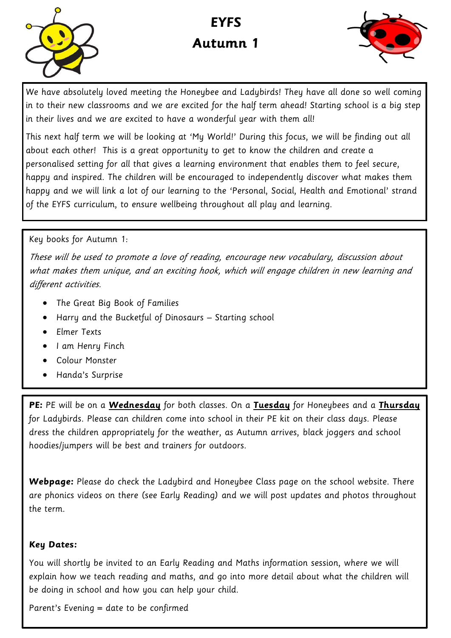

# **EYFS Autumn 1**



We have absolutely loved meeting the Honeybee and Ladybirds! They have all done so well coming in to their new classrooms and we are excited for the half term ahead! Starting school is a big step in their lives and we are excited to have a wonderful year with them all!

This next half term we will be looking at 'My World!' During this focus, we will be finding out all about each other! This is a great opportunity to get to know the children and create a personalised setting for all that gives a learning environment that enables them to feel secure, happy and inspired. The children will be encouraged to independently discover what makes them happy and we will link a lot of our learning to the 'Personal, Social, Health and Emotional' strand of the EYFS curriculum, to ensure wellbeing throughout all play and learning.

#### Key books for Autumn 1:

These will be used to promote a love of reading, encourage new vocabulary, discussion about what makes them unique, and an exciting hook, which will engage children in new learning and different activities.

- The Great Big Book of Families
- Harry and the Bucketful of Dinosaurs Starting school
- **•** Elmer Texts
- I am Henru Finch
- Colour Monster
- Handa's Surprise

**PE:** PE will be on a **Wednesday** for both classes. On a **Tuesday** for Honeybees and a **Thursday**  for Ladybirds. Please can children come into school in their PE kit on their class days. Please dress the children appropriately for the weather, as Autumn arrives, black joggers and school hoodies/jumpers will be best and trainers for outdoors.

**Webpage:** Please do check the Ladybird and Honeybee Class page on the school website. There are phonics videos on there (see Early Reading) and we will post updates and photos throughout the term.

#### **Key Dates:**

You will shortly be invited to an Early Reading and Maths information session, where we will explain how we teach reading and maths, and go into more detail about what the children will be doing in school and how you can help your child.

Parent's Evening = date to be confirmed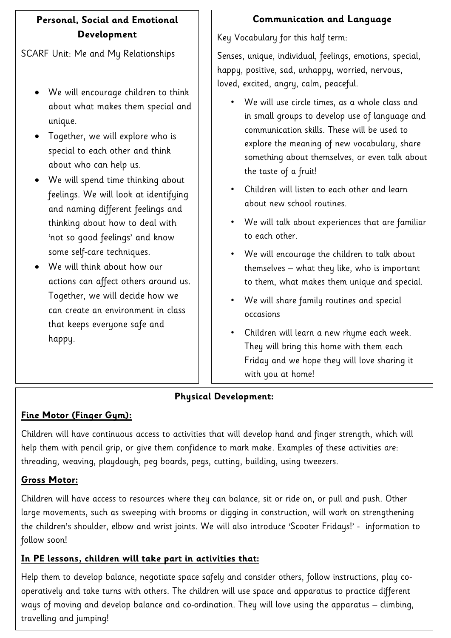# **Personal, Social and Emotional Development**

SCARF Unit: Me and My Relationships

- We will encourage children to think about what makes them special and unique.
- Together, we will explore who is special to each other and think about who can help us.
- We will spend time thinking about feelings. We will look at identifying and naming different feelings and thinking about how to deal with 'not so good feelings' and know some self-care techniques.
- We will think about how our actions can affect others around us. Together, we will decide how we can create an environment in class that keeps everyone safe and happy.

# **Communication and Language**

Key Vocabulary for this half term:

Senses, unique, individual, feelings, emotions, special, happy, positive, sad, unhappy, worried, nervous, loved, excited, angry, calm, peaceful.

- We will use circle times, as a whole class and in small groups to develop use of language and communication skills. These will be used to explore the meaning of new vocabulary, share something about themselves, or even talk about the taste of a fruit!
- Children will listen to each other and learn about new school routines.
- We will talk about experiences that are familiar to each other.
- We will encourage the children to talk about themselves – what they like, who is important to them, what makes them unique and special.
- We will share family routines and special occasions
- Children will learn a new rhyme each week. They will bring this home with them each Friday and we hope they will love sharing it with you at home!

# **Physical Development:**

# **Fine Motor (Finger Gym):**

Children will have continuous access to activities that will develop hand and finger strength, which will help them with pencil grip, or give them confidence to mark make. Examples of these activities are: threading, weaving, playdough, peg boards, pegs, cutting, building, using tweezers.

## **Gross Motor:**

Children will have access to resources where they can balance, sit or ride on, or pull and push. Other large movements, such as sweeping with brooms or digging in construction, will work on strengthening the children's shoulder, elbow and wrist joints. We will also introduce 'Scooter Fridays!' - information to follow soon!

# **In PE lessons, children will take part in activities that:**

Help them to develop balance, negotiate space safely and consider others, follow instructions, play cooperatively and take turns with others. The children will use space and apparatus to practice different ways of moving and develop balance and co-ordination. They will love using the apparatus – climbing, travelling and jumping!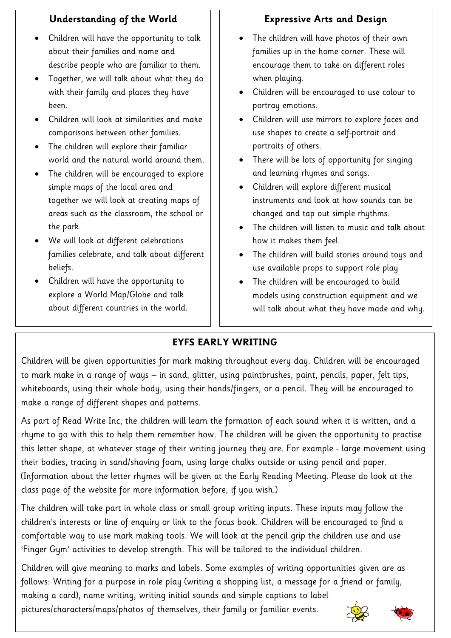# **Understanding of the World**

- Children will have the opportunity to talk about their families and name and describe people who are familiar to them.
- Together, we will talk about what they do with their family and places they have been.
- Children will look at similarities and make comparisons between other families.
- The children will explore their familiar world and the natural world around them.
- The children will be encouraged to explore simple maps of the local area and together we will look at creating maps of areas such as the classroom, the school or the park.
- We will look at different celebrations families celebrate, and talk about different beliefs.
- Children will have the opportunity to explore a World Map/Globe and talk about different countries in the world.

# **Expressive Arts and Design**

- The children will have photos of their own families up in the home corner. These will encourage them to take on different roles when playing.
- Children will be encouraged to use colour to portray emotions.
- Children will use mirrors to explore faces and use shapes to create a self-portrait and portraits of others.
- There will be lots of opportunity for singing and learning rhymes and songs.
- Children will explore different musical instruments and look at how sounds can be changed and tap out simple rhythms.
- The children will listen to music and talk about how it makes them feel.
- The children will build stories around toys and use available props to support role play
- The children will be encouraged to build models using construction equipment and we will talk about what they have made and why.

# **EYFS EARLY WRITING**

Children will be given opportunities for mark making throughout every day. Children will be encouraged to mark make in a range of ways – in sand, glitter, using paintbrushes, paint, pencils, paper, felt tips, whiteboards, using their whole body, using their hands/fingers, or a pencil. They will be encouraged to make a range of different shapes and patterns.

As part of Read Write Inc, the children will learn the formation of each sound when it is written, and a rhyme to go with this to help them remember how. The children will be given the opportunity to practise this letter shape, at whatever stage of their writing journey they are. For example - large movement using their bodies, tracing in sand/shaving foam, using large chalks outside or using pencil and paper. (Information about the letter rhymes will be given at the Early Reading Meeting. Please do look at the class page of the website for more information before, if you wish.)

The children will take part in whole class or small group writing inputs. These inputs may follow the children's interests or line of enquiry or link to the focus book. Children will be encouraged to find a comfortable way to use mark making tools. We will look at the pencil grip the children use and use 'Finger Gym' activities to develop strength. This will be tailored to the individual children.

Children will give meaning to marks and labels. Some examples of writing opportunities given are as follows: Writing for a purpose in role play (writing a shopping list, a message for a friend or family, making a card), name writing, writing initial sounds and simple captions to label

pictures/characters/maps/photos of themselves, their family or familiar events.



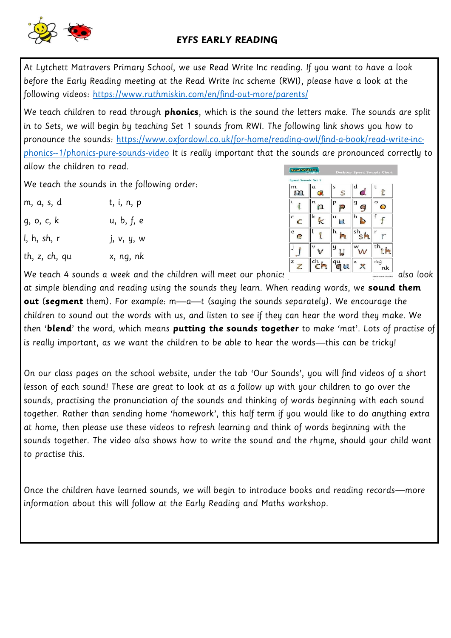## **EYFS EARLY READING**

At Lytchett Matravers Primary School, we use Read Write Inc reading. If you want to have a look before the Early Reading meeting at the Read Write Inc scheme (RWI), please have a look at the following videos:<https://www.ruthmiskin.com/en/find-out-more/parents/>

We teach children to read through **phonics**, which is the sound the letters make. The sounds are split in to Sets, we will begin by teaching Set 1 sounds from RWI. The following link shows you how to pronounce the sounds: [https://www.oxfordowl.co.uk/for-home/reading-owl/find-a-book/read-write-inc](https://www.oxfordowl.co.uk/for-home/reading-owl/find-a-book/read-write-inc-phonics--1/phonics-pure-sounds-video)[phonics--1/phonics-pure-sounds-video](https://www.oxfordowl.co.uk/for-home/reading-owl/find-a-book/read-write-inc-phonics--1/phonics-pure-sounds-video) It is really important that the sounds are pronounced correctly to allow the children to read.

We teach the sounds in the following order:

| m, a, s, d    | t, i, n, p |
|---------------|------------|
| g, o, c, k    | u, b, f, e |
| l, h, sh, r   | j, v, y, w |
| th, z, ch, qu | x, ng, nk  |



We teach 4 sounds a week and the children will meet our phonics  $\frac{1}{\sqrt{1-\frac{1}{\sqrt{1-\frac{1}{\sqrt{1-\frac{1}{\sqrt{1-\frac{1}{\sqrt{1-\frac{1}{\sqrt{1-\frac{1}{\sqrt{1-\frac{1}{\sqrt{1-\frac{1}{\sqrt{1-\frac{1}{\sqrt{1-\frac{1}{\sqrt{1-\frac{1}{\sqrt{1-\frac{1}{\sqrt{1-\frac{1}{\sqrt{1-\frac{1}{\sqrt{1-\frac{1}{\sqrt{1-\frac{1}{\sqrt{1-\frac{$ 

at simple blending and reading using the sounds they learn. When reading words, we **sound them out** (**segment** them). For example: m—a—t (saying the sounds separately). We encourage the children to sound out the words with us, and listen to see if they can hear the word they make. We then '**blend**' the word, which means **putting the sounds together** to make 'mat'. Lots of practise of is really important, as we want the children to be able to hear the words—this can be tricky!

On our class pages on the school website, under the tab 'Our Sounds', you will find videos of a short lesson of each sound! These are great to look at as a follow up with your children to go over the sounds, practising the pronunciation of the sounds and thinking of words beginning with each sound together. Rather than sending home 'homework', this half term if you would like to do anything extra at home, then please use these videos to refresh learning and think of words beginning with the sounds together. The video also shows how to write the sound and the rhyme, should your child want to practise this.

Once the children have learned sounds, we will begin to introduce books and reading records—more information about this will follow at the Early Reading and Maths workshop.